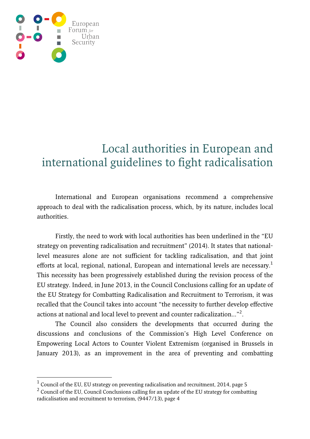

-

## Local authorities in European and international guidelines to fight radicalisation

International and European organisations recommend a comprehensive approach to deal with the radicalisation process, which, by its nature, includes local authorities.

Firstly, the need to work with local authorities has been underlined in the "EU strategy on preventing radicalisation and recruitment" (2014). It states that nationallevel measures alone are not sufficient for tackling radicalisation, and that joint efforts at local, regional, national, European and international levels are necessary.<sup>1</sup> This necessity has been progressively established during the revision process of the EU strategy. Indeed, in June 2013, in the Council Conclusions calling for an update of the EU Strategy for Combatting Radicalisation and Recruitment to Terrorism, it was recalled that the Council takes into account "the necessity to further develop effective actions at national and local level to prevent and counter radicalization..."<sup>2</sup>.

The Council also considers the developments that occurred during the discussions and conclusions of the Commission's High Level Conference on Empowering Local Actors to Counter Violent Extremism (organised in Brussels in January 2013), as an improvement in the area of preventing and combatting

 $^1$  Council of the EU, EU strategy on preventing radicalisation and recruitment, 2014, page 5

 $2$  Council of the EU, Council Conclusions calling for an update of the EU strategy for combatting radicalisation and recruitment to terrorism, (9447/13), page 4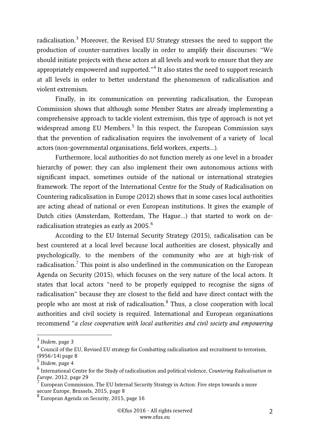radicalisation.<sup>3</sup> Moreover, the Revised EU Strategy stresses the need to support the production of counter-narratives locally in order to amplify their discourses: "We should initiate projects with these actors at all levels and work to ensure that they are appropriately empowered and supported."<sup>4</sup> It also states the need to support research at all levels in order to better understand the phenomenon of radicalisation and violent extremism.

Finally, in its communication on preventing radicalisation, the European Commission shows that although some Member States are already implementing a comprehensive approach to tackle violent extremism, this type of approach is not yet widespread among EU Members.<sup>5</sup> In this respect, the European Commission says that the prevention of radicalisation requires the involvement of a variety of local actors (non-governmental organisations, field workers, experts…).

Furthermore, local authorities do not function merely as one level in a broader hierarchy of power; they can also implement their own autonomous actions with significant impact, sometimes outside of the national or international strategies framework. The report of the International Centre for the Study of Radicalisation on Countering radicalisation in Europe (2012) shows that in some cases local authorities are acting ahead of national or even European institutions. It gives the example of Dutch cities (Amsterdam, Rotterdam, The Hague…) that started to work on deradicalisation strategies as early as 2005. $^6$ 

According to the EU Internal Security Strategy (2015), radicalisation can be best countered at a local level because local authorities are closest, physically and psychologically, to the members of the community who are at high-risk of radicalisation.<sup>7</sup> This point is also underlined in the communication on the European Agenda on Security (2015), which focuses on the very nature of the local actors. It states that local actors "need to be properly equipped to recognise the signs of radicalisation" because they are closest to the field and have direct contact with the people who are most at risk of radicalisation.<sup>8</sup> Thus, a close cooperation with local authorities and civil society is required. International and European organisations recommend "a close cooperation with local authorities and civil society and empowering

<sup>3&</sup>lt;br><sup>3</sup> Ibidem, page 3

 $^4$  Council of the EU, Revised EU strategy for Combatting radicalisation and recruitment to terrorism, (9956/14) page 8

<sup>&</sup>lt;sup>5</sup> Ibidem, page 4

 $^6$  International Centre for the Study of radicalisation and political violence, Countering Radicalisation in Europe, 2012, page 29<br><sup>7</sup> European Commissio

European Commission, The EU Internal Security Strategy in Action: Five steps towards a more secure Europe, Brussels, 2015, page 8

<sup>&</sup>lt;sup>8</sup> European Agenda on Security, 2015, page 16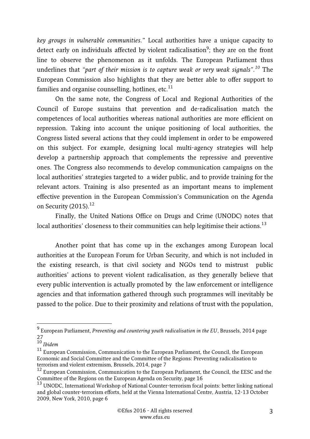key groups in vulnerable communities." Local authorities have a unique capacity to detect early on individuals affected by violent radicalisation<sup>9</sup>; they are on the front line to observe the phenomenon as it unfolds. The European Parliament thus underlines that "part of their mission is to capture weak or very weak signals".<sup>10</sup> The European Commission also highlights that they are better able to offer support to families and organise counselling, hotlines, etc. $^{11}$ 

On the same note, the Congress of Local and Regional Authorities of the Council of Europe sustains that prevention and de-radicalisation match the competences of local authorities whereas national authorities are more efficient on repression. Taking into account the unique positioning of local authorities, the Congress listed several actions that they could implement in order to be empowered on this subject. For example, designing local multi-agency strategies will help develop a partnership approach that complements the repressive and preventive ones. The Congress also recommends to develop communication campaigns on the local authorities' strategies targeted to a wider public, and to provide training for the relevant actors. Training is also presented as an important means to implement effective prevention in the European Commission's Communication on the Agenda on Security  $(2015).$ <sup>12</sup>

Finally, the United Nations Office on Drugs and Crime (UNODC) notes that local authorities' closeness to their communities can help legitimise their actions. $^{13}$ 

Another point that has come up in the exchanges among European local authorities at the European Forum for Urban Security, and which is not included in the existing research, is that civil society and NGOs tend to mistrust public authorities' actions to prevent violent radicalisation, as they generally believe that every public intervention is actually promoted by the law enforcement or intelligence agencies and that information gathered through such programmes will inevitably be passed to the police. Due to their proximity and relations of trust with the population,

 9 European Parliament, Preventing and countering youth radicalisation in the EU, Brussels, 2014 page 27

 $^{10}$  Ibidem

<sup>11</sup> European Commission, Communication to the European Parliament, the Council, the European Economic and Social Committee and the Committee of the Regions: Preventing radicalisation to terrorism and violent extremism, Brussels, 2014, page 7

<sup>&</sup>lt;sup>12</sup> European Commission, Communication to the European Parliament, the Council, the EESC and the Committee of the Regions on the European Agenda on Security, page 16

<sup>&</sup>lt;sup>13</sup> UNODC, International Workshop of National Counter-terrorism focal points: better linking national and global counter-terrorism efforts, held at the Vienna International Centre, Austria, 12-13 October 2009, New York, 2010, page 6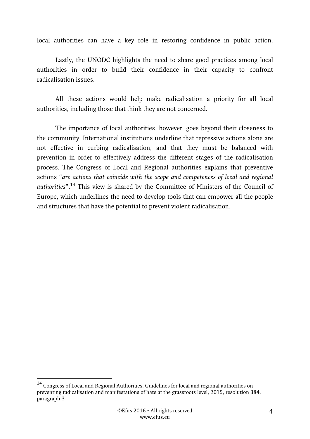local authorities can have a key role in restoring confidence in public action.

Lastly, the UNODC highlights the need to share good practices among local authorities in order to build their confidence in their capacity to confront radicalisation issues.

All these actions would help make radicalisation a priority for all local authorities, including those that think they are not concerned.

The importance of local authorities, however, goes beyond their closeness to the community. International institutions underline that repressive actions alone are not effective in curbing radicalisation, and that they must be balanced with prevention in order to effectively address the different stages of the radicalisation process. The Congress of Local and Regional authorities explains that preventive actions "are actions that coincide with the scope and competences of local and regional authorities".<sup>14</sup> This view is shared by the Committee of Ministers of the Council of Europe, which underlines the need to develop tools that can empower all the people and structures that have the potential to prevent violent radicalisation.

-

 $^{14}$  Congress of Local and Regional Authorities, Guidelines for local and regional authorities on preventing radicalisation and manifestations of hate at the grassroots level, 2015, resolution 384, paragraph 3